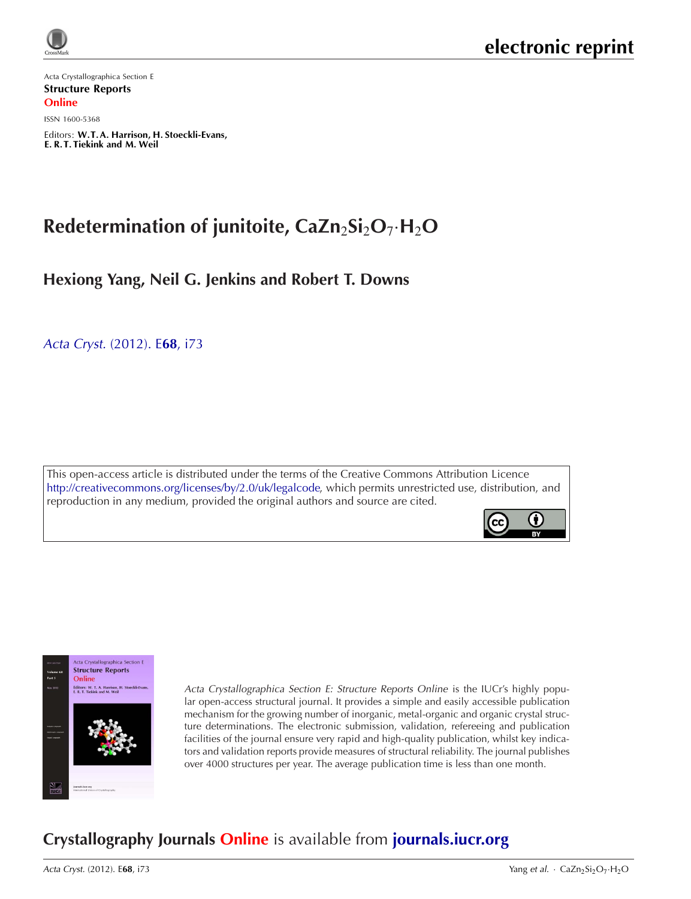

Acta Crystallographica Section E Structure Reports **Online** 

ISSN 1600-5368

Editors: [W.T.A. Harrison, H. Stoeckli-Evans,](http://journals.iucr.org/e/) E. R. T. Tiekink and M. Weil

# **Redetermination of junitoite, CaZn**2**Si**2**O**7*·***H**2**O**

**Hexiong Yang, Neil G. Jenkins and Robert T. Downs**

Acta Cryst. [\(2012\). E](http://dx.doi.org/10.1107/S1600536812037622)**68**, i73

This open-access article is distributed under the terms of the Creative Commons Attribution Licence [http://creativecommons.org/licenses/by/2.0/uk/legalcode,](http://creativecommons.org/licenses/by/2.0/uk/legalcode) which permits unrestricted use, distribution, and reproduction in any medium, provided the original authors and source are cited.





Acta Crystallographica Section E: Structure Reports Online is the IUCr's highly popular open-access structural journal. It provides a simple and easily accessible publication mechanism for the growing number of inorganic, metal-organic and organic crystal structure determinations. The electronic submission, validation, refereeing and publication facilities of the journal ensure very rapid and high-quality publication, whilst key indicators and validation reports provide measures of structural reliability. The journal publishes over 4000 structures per year. The average publication time is less than one month.

## **Crystallography Journals Online** is available from **[journals.iucr.org](http://journals.iucr.org)**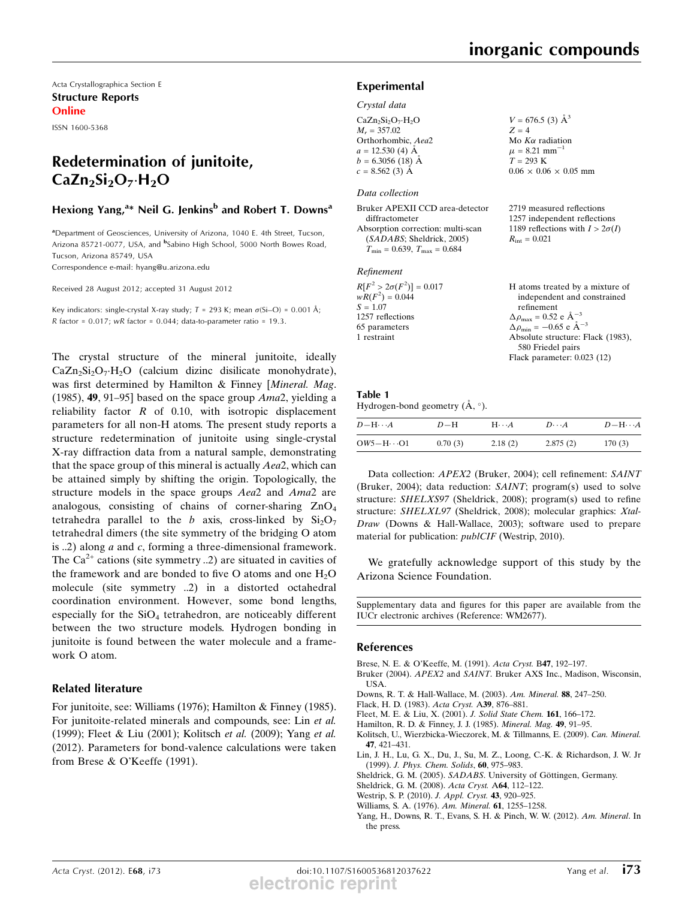$V = 676.5$  (3)  $\AA^3$  $Z = 4$ 

Mo  $K\alpha$  radiation  $\mu = 8.21$  mm<sup>-</sup>  $T = 293$  K

 $0.06 \times 0.06 \times 0.05$  mm

Acta Crystallographica Section E Structure Reports **Online** 

ISSN 1600-5368

## Redetermination of junitoite,  $CaZn_2Si_2O_7·H_2O$

#### Hexiong Yang,<sup>a\*</sup> Neil G. Jenkins<sup>b</sup> and Robert T. Downs<sup>a</sup>

<sup>a</sup>Department of Geosciences, University of Arizona, 1040 E. 4th Street, Tucson, Arizona 85721-0077, USA, and <sup>b</sup>Sabino High School, 5000 North Bowes Road, Tucson, Arizona 85749, USA

Correspondence e-mail: hyang@u.arizona.edu

Received 28 August 2012; accepted 31 August 2012

Key indicators: single-crystal X-ray study;  $T = 293$  K; mean  $\sigma(S_i-O) = 0.001$  Å;  $R$  factor = 0.017;  $wR$  factor = 0.044; data-to-parameter ratio = 19.3.

The crystal structure of the mineral junitoite, ideally  $CaZn_2Si_2O_7·H_2O$  (calcium dizinc disilicate monohydrate), was first determined by Hamilton & Finney [Mineral. Mag. (1985), **49**, 91–95] based on the space group  $A$ ma2, yielding a reliability factor  $R$  of 0.10, with isotropic displacement parameters for all non-H atoms. The present study reports a structure redetermination of junitoite using single-crystal X-ray diffraction data from a natural sample, demonstrating that the space group of this mineral is actually Aea2, which can be attained simply by shifting the origin. Topologically, the structure models in the space groups Aea2 and Ama2 are analogous, consisting of chains of corner-sharing  $ZnO<sub>4</sub>$ tetrahedra parallel to the b axis, cross-linked by  $Si<sub>2</sub>O<sub>7</sub>$ tetrahedral dimers (the site symmetry of the bridging O atom is ..2) along  $a$  and  $c$ , forming a three-dimensional framework. The  $Ca^{2+}$  cations (site symmetry ..2) are situated in cavities of the framework and are bonded to five O atoms and one  $H_2O$ molecule (site symmetry ..2) in a distorted octahedral coordination environment. However, some bond lengths, especially for the  $SiO<sub>4</sub>$  tetrahedron, are noticeably different between the two structure models. Hydrogen bonding in junitoite is found between the water molecule and a framework O atom.

#### Related literature

For junitoite, see: Williams (1976); Hamilton & Finney (1985). For junitoite-related minerals and compounds, see: Lin et al. (1999); Fleet & Liu (2001); Kolitsch et al. (2009); Yang et al. (2012). Parameters for bond-valence calculations were taken from Brese & O'Keeffe (1991).

#### Experimental

Crystal data

| $CaZn_2Si_2O_7·H_2O$ |  |
|----------------------|--|
|                      |  |
| $M_r = 357.02$       |  |
| Orthorhombic, Aea2   |  |
| $a = 12.530(4)$ Å    |  |
| $b = 6.3056(18)$ Å   |  |
| $c = 8.562(3)$ Å     |  |
|                      |  |

#### Data collection

| Bruker APEXII CCD area-detector      | 2719 measured reflections              |
|--------------------------------------|----------------------------------------|
| diffractometer                       | 1257 independent reflections           |
| Absorption correction: multi-scan    | 1189 reflections with $I > 2\sigma(I)$ |
| (SADABS; Sheldrick, 2005)            | $R_{\rm int} = 0.021$                  |
| $T_{\min} = 0.639, T_{\max} = 0.684$ |                                        |
|                                      |                                        |

#### Refinement

| $R[F^2 > 2\sigma(F^2)] = 0.017$ | H atoms treated by a mixture of                    |
|---------------------------------|----------------------------------------------------|
| $wR(F^2) = 0.044$               | independent and constrained                        |
| $S = 1.07$                      | refinement                                         |
| 1257 reflections                | $\Delta \rho_{\text{max}} = 0.52 \text{ e A}^{-3}$ |
| 65 parameters                   | $\Delta \rho_{\text{min}} = -0.65$ e $\AA^{-3}$    |
| 1 restraint                     | Absolute structure: Flack (1983),                  |
|                                 | 580 Friedel pairs                                  |
|                                 | Flack parameter: 0.023 (12)                        |

### Table 1

Hydrogen-bond geometry  $(\mathring{A}, \degree)$ .

| $D$ — H $\cdots$ $A$ | $D-H$   | $H \cdot \cdot \cdot A$ | $D\cdots A$ | $D - H \cdots A$ |
|----------------------|---------|-------------------------|-------------|------------------|
| $OW5-H\cdots O1$     | 0.70(3) | 2.18(2)                 | 2.875(2)    | 170(3)           |

Data collection: APEX2 (Bruker, 2004); cell refinement: SAINT (Bruker, 2004); data reduction: SAINT; program(s) used to solve structure: SHELXS97 (Sheldrick, 2008); program(s) used to refine structure: SHELXL97 (Sheldrick, 2008); molecular graphics: Xtal-Draw (Downs & Hall-Wallace, 2003); software used to prepare material for publication: publCIF (Westrip, 2010).

We gratefully acknowledge support of this study by the Arizona Science Foundation.

Supplementary data and figures for this paper are available from the IUCr electronic archives (Reference: WM2677).

#### References

- Brese, N. E. & O'Keeffe, M. (1991). Acta Cryst. B47, 192–197.
- Bruker (2004). APEX2 and SAINT. Bruker AXS Inc., Madison, Wisconsin, USA.
- Downs, R. T. & Hall-Wallace, M. (2003). Am. Mineral. 88, 247–250.
- Flack, H. D. (1983). Acta Cryst. A39, 876–881.
- Fleet, M. E. & Liu, X. (2001). J. Solid State Chem. 161, 166–172.
- Hamilton, R. D. & Finney, J. J. (1985). Mineral. Mag. 49, 91–95.
- Kolitsch, U., Wierzbicka-Wieczorek, M. & Tillmanns, E. (2009). Can. Mineral. 47, 421–431.
- Lin, J. H., Lu, G. X., Du, J., Su, M. Z., Loong, C.-K. & Richardson, J. W. Jr (1999). J. Phys. Chem. Solids, 60, 975–983.
- Sheldrick, G. M. (2005). SADABS. University of Göttingen, Germany.
- Sheldrick, G. M. (2008). Acta Cryst. A64, 112–122.
- Westrip, S. P. (2010). J. Appl. Cryst. 43, 920–925.
- Williams, S. A. (1976). Am. Mineral. 61, 1255–1258.
- Yang, H., Downs, R. T., Evans, S. H. & Pinch, W. W. (2012). Am. Mineral. In the press.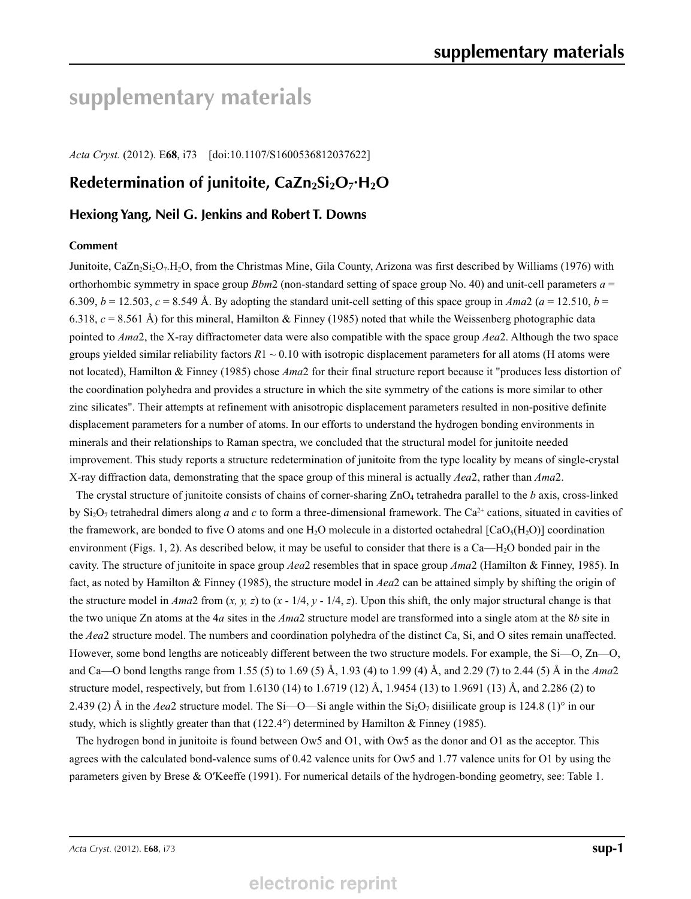# **supplementary materials**

*Acta Cryst.* (2012). E**68**, i73 [doi:10.1107/S1600536812037622]

### Redetermination of junitoite, CaZn<sub>2</sub>Si<sub>2</sub>O<sub>7</sub>**·H**<sub>2</sub>O

#### **Hexiong Yang, Neil G. Jenkins and Robert T. Downs**

#### **Comment**

Junitoite,  $CaZn_2Si_2O_7.H_2O$ , from the Christmas Mine, Gila County, Arizona was first described by Williams (1976) with orthorhombic symmetry in space group *Bbm*2 (non-standard setting of space group No. 40) and unit-cell parameters *a* = 6.309,  $b = 12.503$ ,  $c = 8.549$  Å. By adopting the standard unit-cell setting of this space group in Ama2 ( $a = 12.510$ ,  $b = 12.510$ 6.318,  $c = 8.561$  Å) for this mineral, Hamilton & Finney (1985) noted that while the Weissenberg photographic data pointed to *Ama*2, the X-ray diffractometer data were also compatible with the space group *Aea*2. Although the two space groups yielded similar reliability factors  $R1 \sim 0.10$  with isotropic displacement parameters for all atoms (H atoms were not located), Hamilton & Finney (1985) chose *Ama*2 for their final structure report because it "produces less distortion of the coordination polyhedra and provides a structure in which the site symmetry of the cations is more similar to other zinc silicates". Their attempts at refinement with anisotropic displacement parameters resulted in non-positive definite displacement parameters for a number of atoms. In our efforts to understand the hydrogen bonding environments in minerals and their relationships to Raman spectra, we concluded that the structural model for junitoite needed improvement. This study reports a structure redetermination of junitoite from the type locality by means of single-crystal X-ray diffraction data, demonstrating that the space group of this mineral is actually *Aea*2, rather than *Ama*2.

The crystal structure of junitoite consists of chains of corner-sharing ZnO4 tetrahedra parallel to the *b* axis, cross-linked by  $Si_2O_7$  tetrahedral dimers along *a* and *c* to form a three-dimensional framework. The Ca<sup>2+</sup> cations, situated in cavities of the framework, are bonded to five O atoms and one H<sub>2</sub>O molecule in a distorted octahedral [CaO<sub>5</sub>(H<sub>2</sub>O)] coordination environment (Figs. 1, 2). As described below, it may be useful to consider that there is a Ca—H2O bonded pair in the cavity. The structure of junitoite in space group *Aea*2 resembles that in space group *Ama*2 (Hamilton & Finney, 1985). In fact, as noted by Hamilton & Finney (1985), the structure model in *Aea*2 can be attained simply by shifting the origin of the structure model in *Ama*2 from (*x, y, z*) to (*x* - 1/4, *y* - 1/4, *z*). Upon this shift, the only major structural change is that the two unique Zn atoms at the 4*a* sites in the *Ama*2 structure model are transformed into a single atom at the 8*b* site in the *Aea*2 structure model. The numbers and coordination polyhedra of the distinct Ca, Si, and O sites remain unaffected. However, some bond lengths are noticeably different between the two structure models. For example, the Si—O, Zn—O, and Ca—O bond lengths range from 1.55 (5) to 1.69 (5) Å, 1.93 (4) to 1.99 (4) Å, and 2.29 (7) to 2.44 (5) Å in the *Ama*2 structure model, respectively, but from 1.6130 (14) to 1.6719 (12) Å, 1.9454 (13) to 1.9691 (13) Å, and 2.286 (2) to 2.439 (2) Å in the *Aea*2 structure model. The Si—O—Si angle within the Si<sub>2</sub>O<sub>7</sub> disiilicate group is 124.8 (1)<sup>o</sup> in our study, which is slightly greater than that  $(122.4^{\circ})$  determined by Hamilton & Finney (1985).

The hydrogen bond in junitoite is found between Ow5 and O1, with Ow5 as the donor and O1 as the acceptor. This agrees with the calculated bond-valence sums of 0.42 valence units for Ow5 and 1.77 valence units for O1 by using the parameters given by Brese & O′Keeffe (1991). For numerical details of the hydrogen-bonding geometry, see: Table 1.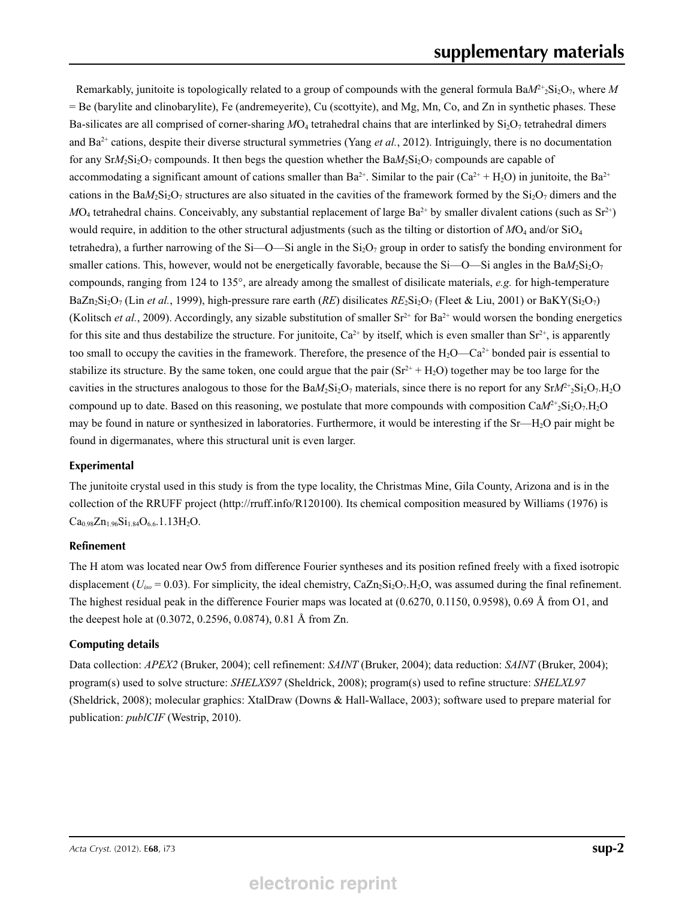Remarkably, junitoite is topologically related to a group of compounds with the general formula  $BaM^{2+}_2Si_2O_7$ , where M = Be (barylite and clinobarylite), Fe (andremeyerite), Cu (scottyite), and Mg, Mn, Co, and Zn in synthetic phases. These Ba-silicates are all comprised of corner-sharing  $MO_4$  tetrahedral chains that are interlinked by  $Si<sub>2</sub>O<sub>7</sub>$  tetrahedral dimers and  $Ba^{2+}$  cations, despite their diverse structural symmetries (Yang *et al.*, 2012). Intriguingly, there is no documentation for any  $SrM_2Si_2O_7$  compounds. It then begs the question whether the  $BaM_2Si_2O_7$  compounds are capable of accommodating a significant amount of cations smaller than  $Ba^{2+}$ . Similar to the pair (Ca<sup>2+</sup> + H<sub>2</sub>O) in junitoite, the Ba<sup>2+</sup> cations in the BaM<sub>2</sub>Si<sub>2</sub>O<sub>7</sub> structures are also situated in the cavities of the framework formed by the  $Si<sub>2</sub>O<sub>7</sub>$  dimers and the  $MO_4$  tetrahedral chains. Conceivably, any substantial replacement of large Ba<sup>2+</sup> by smaller divalent cations (such as  $Sr^{2+}$ ) would require, in addition to the other structural adjustments (such as the tilting or distortion of *M*O<sub>4</sub> and/or SiO<sub>4</sub> tetrahedra), a further narrowing of the Si—O—Si angle in the  $Si<sub>2</sub>O<sub>7</sub>$  group in order to satisfy the bonding environment for smaller cations. This, however, would not be energetically favorable, because the Si—O—Si angles in the  $BaM_2Si_2O_7$ compounds, ranging from 124 to 135°, are already among the smallest of disilicate materials, *e.g.* for high-temperature BaZn<sub>2</sub>Si<sub>2</sub>O<sub>7</sub> (Lin *et al.*, 1999), high-pressure rare earth (*RE*) disilicates  $RE_2Si_2O_7$  (Fleet & Liu, 2001) or BaKY(Si<sub>2</sub>O<sub>7</sub>) (Kolitsch *et al.*, 2009). Accordingly, any sizable substitution of smaller  $Sr^{2+}$  for  $Ba^{2+}$  would worsen the bonding energetics for this site and thus destabilize the structure. For junitoite,  $Ca^{2+}$  by itself, which is even smaller than  $Sr^{2+}$ , is apparently too small to occupy the cavities in the framework. Therefore, the presence of the  $H_2O$ —Ca<sup>2+</sup> bonded pair is essential to stabilize its structure. By the same token, one could argue that the pair  $(Sr^{2+} + H_2O)$  together may be too large for the cavities in the structures analogous to those for the  $BaM_2Si_2O_7$  materials, since there is no report for any  $SrM<sup>2+</sup>2Si_2O_7.H_2O$ compound up to date. Based on this reasoning, we postulate that more compounds with composition  $CaM^2_{2}Si_2O_7H_2O$ may be found in nature or synthesized in laboratories. Furthermore, it would be interesting if the Sr—H<sub>2</sub>O pair might be found in digermanates, where this structural unit is even larger.

#### **Experimental**

The junitoite crystal used in this study is from the type locality, the Christmas Mine, Gila County, Arizona and is in the collection of the RRUFF project (http://rruff.info/R120100). Its chemical composition measured by Williams (1976) is  $Ca<sub>0.98</sub>Zn<sub>1.96</sub>Si<sub>1.84</sub>O<sub>6.6</sub>1.13H<sub>2</sub>O.$ 

#### **Refinement**

The H atom was located near Ow5 from difference Fourier syntheses and its position refined freely with a fixed isotropic displacement ( $U_{iso}$  = 0.03). For simplicity, the ideal chemistry, CaZn<sub>2</sub>Si<sub>2</sub>O<sub>7</sub>.H<sub>2</sub>O, was assumed during the final refinement. The highest residual peak in the difference Fourier maps was located at (0.6270, 0.1150, 0.9598), 0.69 Å from O1, and the deepest hole at (0.3072, 0.2596, 0.0874), 0.81 Å from Zn.

#### **Computing details**

Data collection: *APEX2* (Bruker, 2004); cell refinement: *SAINT* (Bruker, 2004); data reduction: *SAINT* (Bruker, 2004); program(s) used to solve structure: *SHELXS97* (Sheldrick, 2008); program(s) used to refine structure: *SHELXL97* (Sheldrick, 2008); molecular graphics: XtalDraw (Downs & Hall-Wallace, 2003); software used to prepare material for publication: *publCIF* (Westrip, 2010).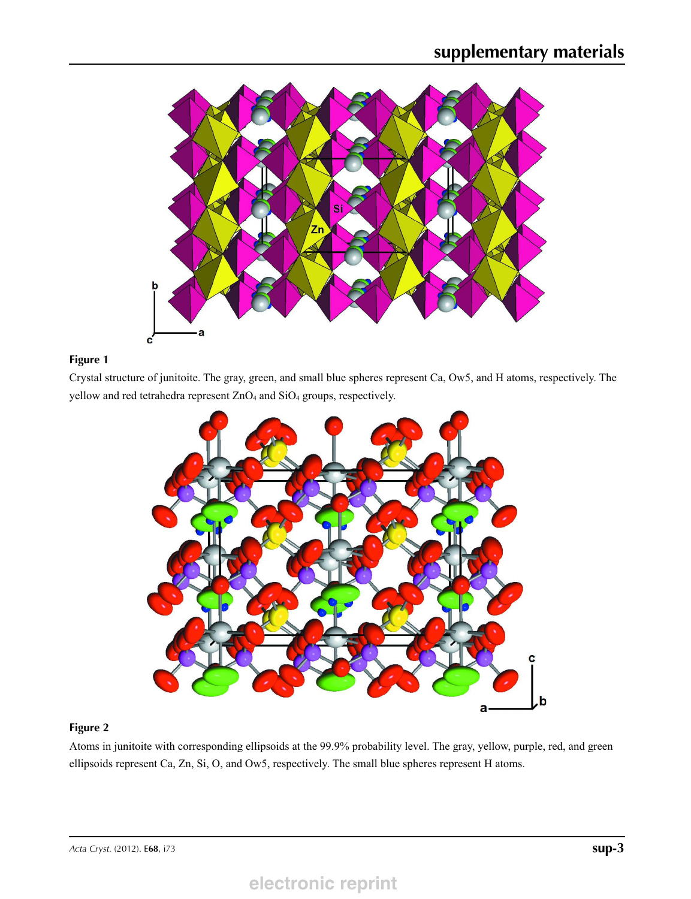

#### **Figure 1**

Crystal structure of junitoite. The gray, green, and small blue spheres represent Ca, Ow5, and H atoms, respectively. The yellow and red tetrahedra represent ZnO<sub>4</sub> and SiO<sub>4</sub> groups, respectively.



#### **Figure 2**

Atoms in junitoite with corresponding ellipsoids at the 99.9% probability level. The gray, yellow, purple, red, and green ellipsoids represent Ca, Zn, Si, O, and Ow5, respectively. The small blue spheres represent H atoms.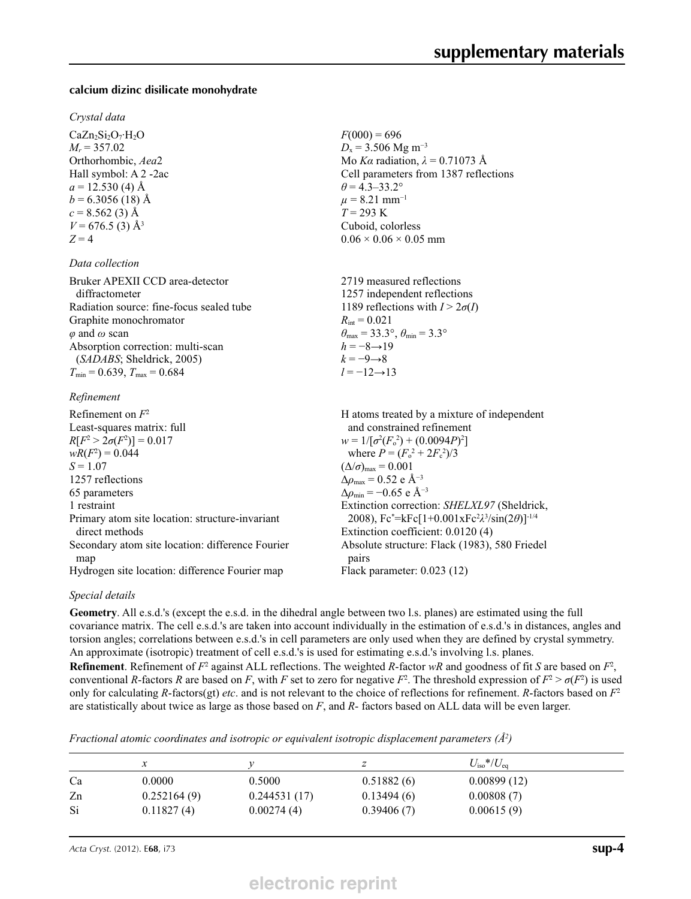#### **calcium dizinc disilicate monohydrate**

#### *Crystal data*

 $CaZn<sub>2</sub>Si<sub>2</sub>O<sub>7</sub>·H<sub>2</sub>O$  $M_r = 357.02$ Orthorhombic, *Aea*2 Hall symbol: A 2 -2ac  $a = 12.530(4)$  Å  $b = 6.3056(18)$  Å  $c = 8.562(3)$  Å  $V = 676.5$  (3) Å<sup>3</sup>  $Z = 4$ 

#### *Data collection*

Bruker APEXII CCD area-detector diffractometer Radiation source: fine-focus sealed tube Graphite monochromator *φ* and *ω* scan Absorption correction: multi-scan (*SADABS*; Sheldrick, 2005)  $T_{\text{min}} = 0.639, T_{\text{max}} = 0.684$ 

#### *Refinement*

| Refinement on $F^2$                              | H atoms treated by a mixture of independent                    |
|--------------------------------------------------|----------------------------------------------------------------|
| Least-squares matrix: full                       | and constrained refinement                                     |
| $R[F^2 > 2\sigma(F^2)] = 0.017$                  | $w = 1/[\sigma^2(F_0^2) + (0.0094P)^2]$                        |
| $wR(F^2) = 0.044$                                | where $P = (F_o^2 + 2F_c^2)/3$                                 |
| $S = 1.07$                                       | $(\Delta/\sigma)_{\text{max}} = 0.001$                         |
| 1257 reflections                                 | $\Delta\rho_{\text{max}} = 0.52$ e Å <sup>-3</sup>             |
| 65 parameters                                    | $\Delta\rho_{\rm min} = -0.65$ e Å <sup>-3</sup>               |
| 1 restraint                                      | Extinction correction: SHELXL97 (Sheldrick,                    |
| Primary atom site location: structure-invariant  | 2008), $Fc^* = kFc[1+0.001xFc^2\lambda^3/sin(2\theta)]^{-1/4}$ |
| direct methods                                   | Extinction coefficient: 0.0120 (4)                             |
| Secondary atom site location: difference Fourier | Absolute structure: Flack (1983), 580 Friedel                  |
| map                                              | pairs                                                          |
| Hydrogen site location: difference Fourier map   | Flack parameter: $0.023(12)$                                   |

#### *Special details*

**Geometry**. All e.s.d.'s (except the e.s.d. in the dihedral angle between two l.s. planes) are estimated using the full covariance matrix. The cell e.s.d.'s are taken into account individually in the estimation of e.s.d.'s in distances, angles and torsion angles; correlations between e.s.d.'s in cell parameters are only used when they are defined by crystal symmetry. An approximate (isotropic) treatment of cell e.s.d.'s is used for estimating e.s.d.'s involving l.s. planes.

 $F(000) = 696$  $D_x$  = 3.506 Mg m<sup>-3</sup>

 $\theta$  = 4.3–33.2°  $\mu$  = 8.21 mm<sup>-1</sup>  $T = 293 \text{ K}$ Cuboid, colorless  $0.06 \times 0.06 \times 0.05$  mm

 $R_{\text{int}} = 0.021$ 

 $h = -8 \rightarrow 19$  $k = -9 \rightarrow 8$ *l* = −12→13

Mo *Kα* radiation,  $\lambda = 0.71073$  Å Cell parameters from 1387 reflections

2719 measured reflections 1257 independent reflections 1189 reflections with  $I > 2\sigma(I)$ 

 $\theta_{\text{max}} = 33.3^{\circ}, \theta_{\text{min}} = 3.3^{\circ}$ 

**Refinement**. Refinement of  $F^2$  against ALL reflections. The weighted *R*-factor  $wR$  and goodness of fit *S* are based on  $F^2$ , conventional *R*-factors *R* are based on *F*, with *F* set to zero for negative  $F^2$ . The threshold expression of  $F^2 > \sigma(F^2)$  is used only for calculating *R*-factors(gt) *etc*. and is not relevant to the choice of reflections for refinement. *R*-factors based on *F*<sup>2</sup> are statistically about twice as large as those based on *F*, and *R*- factors based on ALL data will be even larger.

*Fractional atomic coordinates and isotropic or equivalent isotropic displacement parameters (Å<sup>2</sup>)* 

|    | x           |              |            | $U_{\rm iso}*/U_{\rm eq}$ |
|----|-------------|--------------|------------|---------------------------|
| Ca | 0.0000      | 0.5000       | 0.51882(6) | 0.00899(12)               |
| Zn | 0.252164(9) | 0.244531(17) | 0.13494(6) | 0.00808(7)                |
| Si | 0.11827(4)  | 0.00274(4)   | 0.39406(7) | 0.00615(9)                |